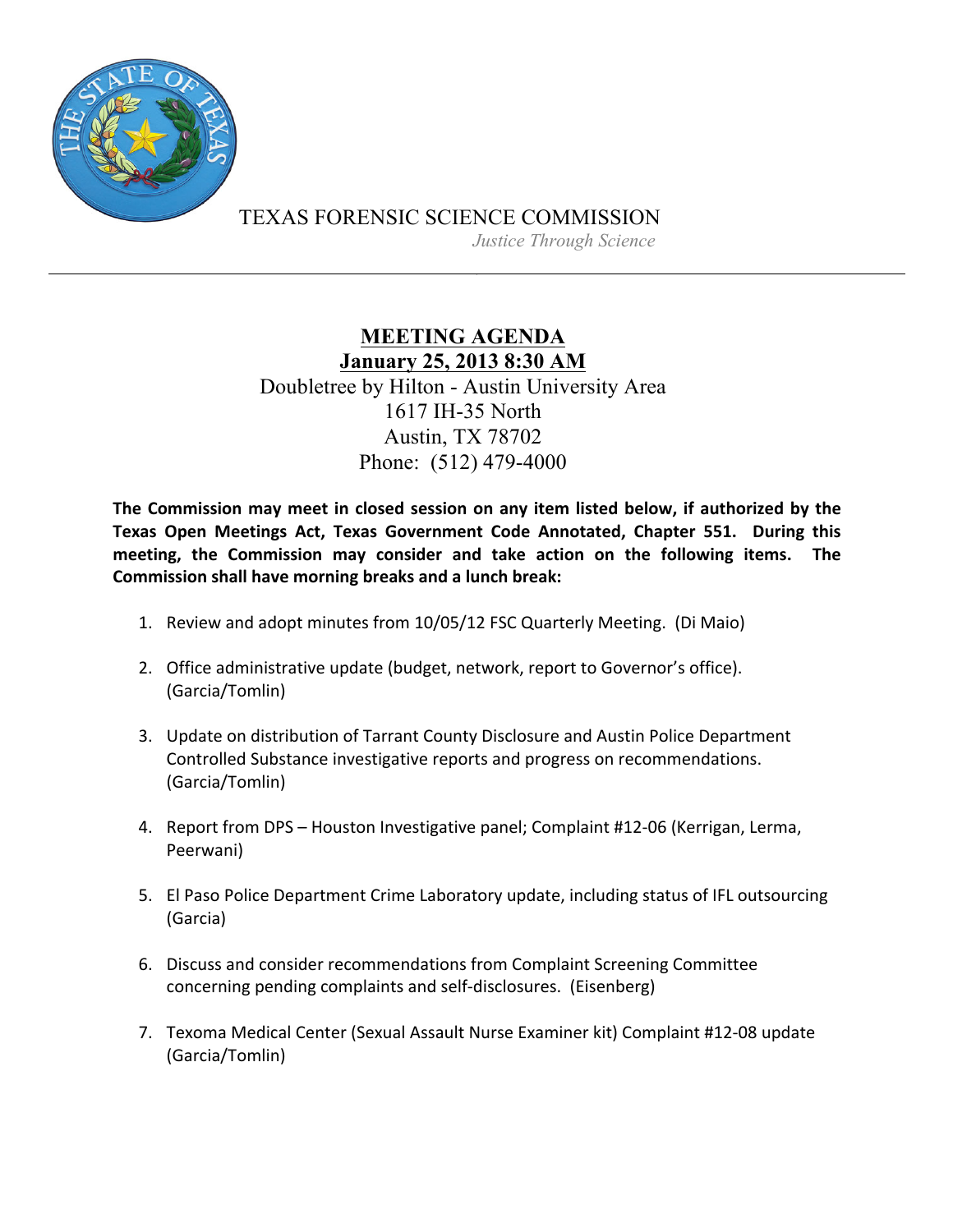

TEXAS FORENSIC SCIENCE COMMISSION

*Justice Through Science*

## **MEETING AGENDA January 25, 2013 8:30 AM** Doubletree by Hilton - Austin University Area 1617 IH-35 North Austin, TX 78702 Phone: (512) 479-4000

The Commission may meet in closed session on any item listed below, if authorized by the **Texas Open Meetings Act, Texas Government Code Annotated, Chapter 551. During this** meeting, the Commission may consider and take action on the following items. The **Commission shall have morning breaks and a lunch break:** 

- 1. Review and adopt minutes from 10/05/12 FSC Quarterly Meeting. (Di Maio)
- 2. Office administrative update (budget, network, report to Governor's office). (Garcia/Tomlin)
- 3. Update on distribution of Tarrant County Disclosure and Austin Police Department Controlled Substance investigative reports and progress on recommendations. (Garcia/Tomlin)
- 4. Report from DPS Houston Investigative panel; Complaint #12-06 (Kerrigan, Lerma, Peerwani)
- 5. El Paso Police Department Crime Laboratory update, including status of IFL outsourcing (Garcia)
- 6. Discuss and consider recommendations from Complaint Screening Committee concerning pending complaints and self-disclosures. (Eisenberg)
- 7. Texoma Medical Center (Sexual Assault Nurse Examiner kit) Complaint #12-08 update (Garcia/Tomlin)